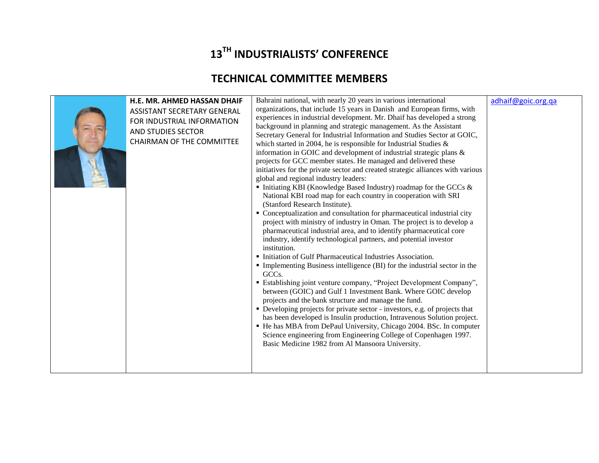## **13TH INDUSTRIALISTS' CONFERENCE**

## **TECHNICAL COMMITTEE MEMBERS**

|  | H.E. MR. AHMED HASSAN DHAIF<br>ASSISTANT SECRETARY GENERAL<br>FOR INDUSTRIAL INFORMATION<br>AND STUDIES SECTOR<br><b>CHAIRMAN OF THE COMMITTEE</b> | Bahraini national, with nearly 20 years in various international<br>organizations, that include 15 years in Danish and European firms, with<br>experiences in industrial development. Mr. Dhaif has developed a strong<br>background in planning and strategic management. As the Assistant<br>Secretary General for Industrial Information and Studies Sector at GOIC,<br>which started in 2004, he is responsible for Industrial Studies $\&$<br>information in GOIC and development of industrial strategic plans &<br>projects for GCC member states. He managed and delivered these<br>initiatives for the private sector and created strategic alliances with various<br>global and regional industry leaders:<br>Initiating KBI (Knowledge Based Industry) roadmap for the GCCs &<br>National KBI road map for each country in cooperation with SRI<br>(Stanford Research Institute).<br>• Conceptualization and consultation for pharmaceutical industrial city<br>project with ministry of industry in Oman. The project is to develop a<br>pharmaceutical industrial area, and to identify pharmaceutical core<br>industry, identify technological partners, and potential investor<br>institution.<br>• Initiation of Gulf Pharmaceutical Industries Association.<br>• Implementing Business intelligence (BI) for the industrial sector in the<br>GCC <sub>s</sub> .<br>• Establishing joint venture company, "Project Development Company",<br>between (GOIC) and Gulf 1 Investment Bank. Where GOIC develop<br>projects and the bank structure and manage the fund.<br>• Developing projects for private sector - investors, e.g. of projects that<br>has been developed is Insulin production, Intravenous Solution project.<br>• He has MBA from DePaul University, Chicago 2004. BSc. In computer<br>Science engineering from Engineering College of Copenhagen 1997.<br>Basic Medicine 1982 from Al Mansoora University. | adhaif@goic.org.qa |
|--|----------------------------------------------------------------------------------------------------------------------------------------------------|--------------------------------------------------------------------------------------------------------------------------------------------------------------------------------------------------------------------------------------------------------------------------------------------------------------------------------------------------------------------------------------------------------------------------------------------------------------------------------------------------------------------------------------------------------------------------------------------------------------------------------------------------------------------------------------------------------------------------------------------------------------------------------------------------------------------------------------------------------------------------------------------------------------------------------------------------------------------------------------------------------------------------------------------------------------------------------------------------------------------------------------------------------------------------------------------------------------------------------------------------------------------------------------------------------------------------------------------------------------------------------------------------------------------------------------------------------------------------------------------------------------------------------------------------------------------------------------------------------------------------------------------------------------------------------------------------------------------------------------------------------------------------------------------------------------------------------------------------------------------------------------------------------------------------------------------|--------------------|
|--|----------------------------------------------------------------------------------------------------------------------------------------------------|--------------------------------------------------------------------------------------------------------------------------------------------------------------------------------------------------------------------------------------------------------------------------------------------------------------------------------------------------------------------------------------------------------------------------------------------------------------------------------------------------------------------------------------------------------------------------------------------------------------------------------------------------------------------------------------------------------------------------------------------------------------------------------------------------------------------------------------------------------------------------------------------------------------------------------------------------------------------------------------------------------------------------------------------------------------------------------------------------------------------------------------------------------------------------------------------------------------------------------------------------------------------------------------------------------------------------------------------------------------------------------------------------------------------------------------------------------------------------------------------------------------------------------------------------------------------------------------------------------------------------------------------------------------------------------------------------------------------------------------------------------------------------------------------------------------------------------------------------------------------------------------------------------------------------------------------|--------------------|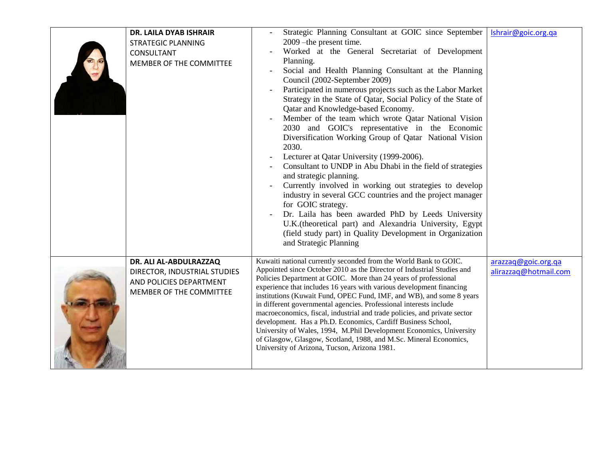| DR. LAILA DYAB ISHRAIR<br><b>STRATEGIC PLANNING</b><br>CONSULTANT<br>MEMBER OF THE COMMITTEE                 | Strategic Planning Consultant at GOIC since September<br>2009 - the present time.<br>Worked at the General Secretariat of Development<br>Planning.<br>Social and Health Planning Consultant at the Planning<br>Council (2002-September 2009)<br>Participated in numerous projects such as the Labor Market<br>Strategy in the State of Qatar, Social Policy of the State of<br>Qatar and Knowledge-based Economy.<br>Member of the team which wrote Qatar National Vision<br>2030 and GOIC's representative in the Economic<br>Diversification Working Group of Qatar National Vision<br>2030.<br>Lecturer at Qatar University (1999-2006).<br>Consultant to UNDP in Abu Dhabi in the field of strategies<br>and strategic planning.<br>Currently involved in working out strategies to develop<br>industry in several GCC countries and the project manager<br>for GOIC strategy.<br>Dr. Laila has been awarded PhD by Leeds University<br>U.K.(theoretical part) and Alexandria University, Egypt<br>(field study part) in Quality Development in Organization<br>and Strategic Planning | Ishrair@goic.org.qa                          |
|--------------------------------------------------------------------------------------------------------------|--------------------------------------------------------------------------------------------------------------------------------------------------------------------------------------------------------------------------------------------------------------------------------------------------------------------------------------------------------------------------------------------------------------------------------------------------------------------------------------------------------------------------------------------------------------------------------------------------------------------------------------------------------------------------------------------------------------------------------------------------------------------------------------------------------------------------------------------------------------------------------------------------------------------------------------------------------------------------------------------------------------------------------------------------------------------------------------------|----------------------------------------------|
| DR. ALI AL-ABDULRAZZAQ<br>DIRECTOR, INDUSTRIAL STUDIES<br>AND POLICIES DEPARTMENT<br>MEMBER OF THE COMMITTEE | Kuwaiti national currently seconded from the World Bank to GOIC.<br>Appointed since October 2010 as the Director of Industrial Studies and<br>Policies Department at GOIC. More than 24 years of professional<br>experience that includes 16 years with various development financing<br>institutions (Kuwait Fund, OPEC Fund, IMF, and WB), and some 8 years<br>in different governmental agencies. Professional interests include<br>macroeconomics, fiscal, industrial and trade policies, and private sector<br>development. Has a Ph.D. Economics, Cardiff Business School,<br>University of Wales, 1994, M.Phil Development Economics, University<br>of Glasgow, Glasgow, Scotland, 1988, and M.Sc. Mineral Economics,<br>University of Arizona, Tucson, Arizona 1981.                                                                                                                                                                                                                                                                                                               | arazzaq@goic.org.qa<br>alirazzaq@hotmail.com |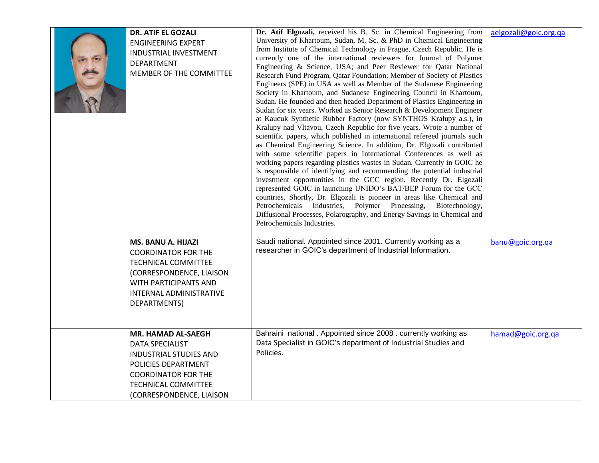| <b>DR. ATIF EL GOZALI</b><br><b>ENGINEERING EXPERT</b><br>INDUSTRIAL INVESTMENT<br><b>DEPARTMENT</b><br>MEMBER OF THE COMMITTEE                                                              | Dr. Atif Elgozali, received his B. Sc. in Chemical Engineering from<br>University of Khartoum, Sudan, M. Sc. & PhD in Chemical Engineering<br>from Institute of Chemical Technology in Prague, Czech Republic. He is<br>currently one of the international reviewers for Journal of Polymer<br>Engineering & Science, USA; and Peer Reviewer for Qatar National<br>Research Fund Program, Qatar Foundation; Member of Society of Plastics<br>Engineers (SPE) in USA as well as Member of the Sudanese Engineering<br>Society in Khartoum, and Sudanese Engineering Council in Khartoum,<br>Sudan. He founded and then headed Department of Plastics Engineering in<br>Sudan for six years. Worked as Senior Research & Development Engineer<br>at Kaucuk Synthetic Rubber Factory (now SYNTHOS Kralupy a.s.), in<br>Kralupy nad Vltavou, Czech Republic for five years. Wrote a number of<br>scientific papers, which published in international refereed journals such<br>as Chemical Engineering Science. In addition, Dr. Elgozali contributed<br>with some scientific papers in International Conferences as well as<br>working papers regarding plastics wastes in Sudan. Currently in GOIC he<br>is responsible of identifying and recommending the potential industrial<br>investment opportunities in the GCC region. Recently Dr. Elgozali<br>represented GOIC in launching UNIDO's BAT/BEP Forum for the GCC<br>countries. Shortly, Dr. Elgozali is pioneer in areas like Chemical and<br>Petrochemicals Industries, Polymer Processing,<br>Biotechnology,<br>Diffusional Processes, Polarography, and Energy Savings in Chemical and<br>Petrochemicals Industries. | aelgozali@goic.org.qa |
|----------------------------------------------------------------------------------------------------------------------------------------------------------------------------------------------|-------------------------------------------------------------------------------------------------------------------------------------------------------------------------------------------------------------------------------------------------------------------------------------------------------------------------------------------------------------------------------------------------------------------------------------------------------------------------------------------------------------------------------------------------------------------------------------------------------------------------------------------------------------------------------------------------------------------------------------------------------------------------------------------------------------------------------------------------------------------------------------------------------------------------------------------------------------------------------------------------------------------------------------------------------------------------------------------------------------------------------------------------------------------------------------------------------------------------------------------------------------------------------------------------------------------------------------------------------------------------------------------------------------------------------------------------------------------------------------------------------------------------------------------------------------------------------------------------------------------------------------------------------------------------------|-----------------------|
| <b>MS. BANU A. HIJAZI</b><br><b>COORDINATOR FOR THE</b><br><b>TECHNICAL COMMITTEE</b><br>(CORRESPONDENCE, LIAISON<br>WITH PARTICIPANTS AND<br>INTERNAL ADMINISTRATIVE<br>DEPARTMENTS)        | Saudi national. Appointed since 2001. Currently working as a<br>researcher in GOIC's department of Industrial Information.                                                                                                                                                                                                                                                                                                                                                                                                                                                                                                                                                                                                                                                                                                                                                                                                                                                                                                                                                                                                                                                                                                                                                                                                                                                                                                                                                                                                                                                                                                                                                    | banu@goic.org.qa      |
| MR. HAMAD AL-SAEGH<br><b>DATA SPECIALIST</b><br><b>INDUSTRIAL STUDIES AND</b><br>POLICIES DEPARTMENT<br><b>COORDINATOR FOR THE</b><br><b>TECHNICAL COMMITTEE</b><br>(CORRESPONDENCE, LIAISON | Bahraini national. Appointed since 2008. currently working as<br>Data Specialist in GOIC's department of Industrial Studies and<br>Policies.                                                                                                                                                                                                                                                                                                                                                                                                                                                                                                                                                                                                                                                                                                                                                                                                                                                                                                                                                                                                                                                                                                                                                                                                                                                                                                                                                                                                                                                                                                                                  | hamad@goic.org.qa     |